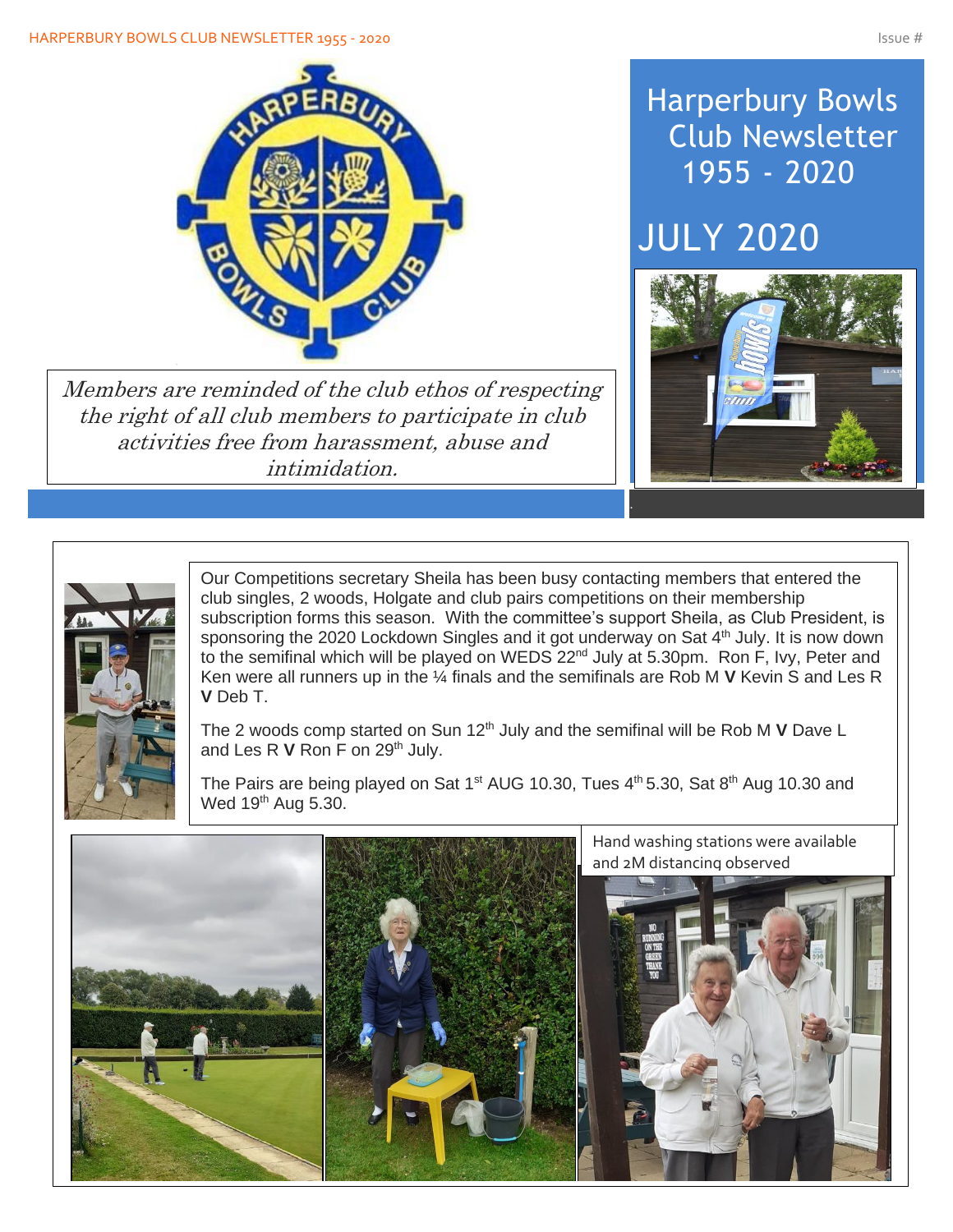#### HARPERBURY BOWLS CLUB NEWSLETTER 1955 - 2020 ISSUE # 1975 - 2020



Members are reminded of the club ethos of respecting the right of all club members to participate in club activities free from harassment, abuse and intimidation.

# Harperbury Bowls Club Newsletter 1955 - 2020

# JULY 2020





Our Competitions secretary Sheila has been busy contacting members that entered the club singles, 2 woods, Holgate and club pairs competitions on their membership subscription forms this season. With the committee's support Sheila, as Club President, is sponsoring the 2020 Lockdown Singles and it got underway on Sat 4<sup>th</sup> July. It is now down to the semifinal which will be played on WEDS 22<sup>nd</sup> July at 5.30pm. Ron F, Ivy, Peter and Ken were all runners up in the ¼ finals and the semifinals are Rob M **V** Kevin S and Les R **V** Deb T.

The 2 woods comp started on Sun 12<sup>th</sup> July and the semifinal will be Rob M V Dave L and Les R V Ron F on 29<sup>th</sup> July.

The Pairs are being played on Sat 1<sup>st</sup> AUG 10.30, Tues 4<sup>th</sup> 5.30, Sat 8<sup>th</sup> Aug 10.30 and Wed 19<sup>th</sup> Aug 5.30.

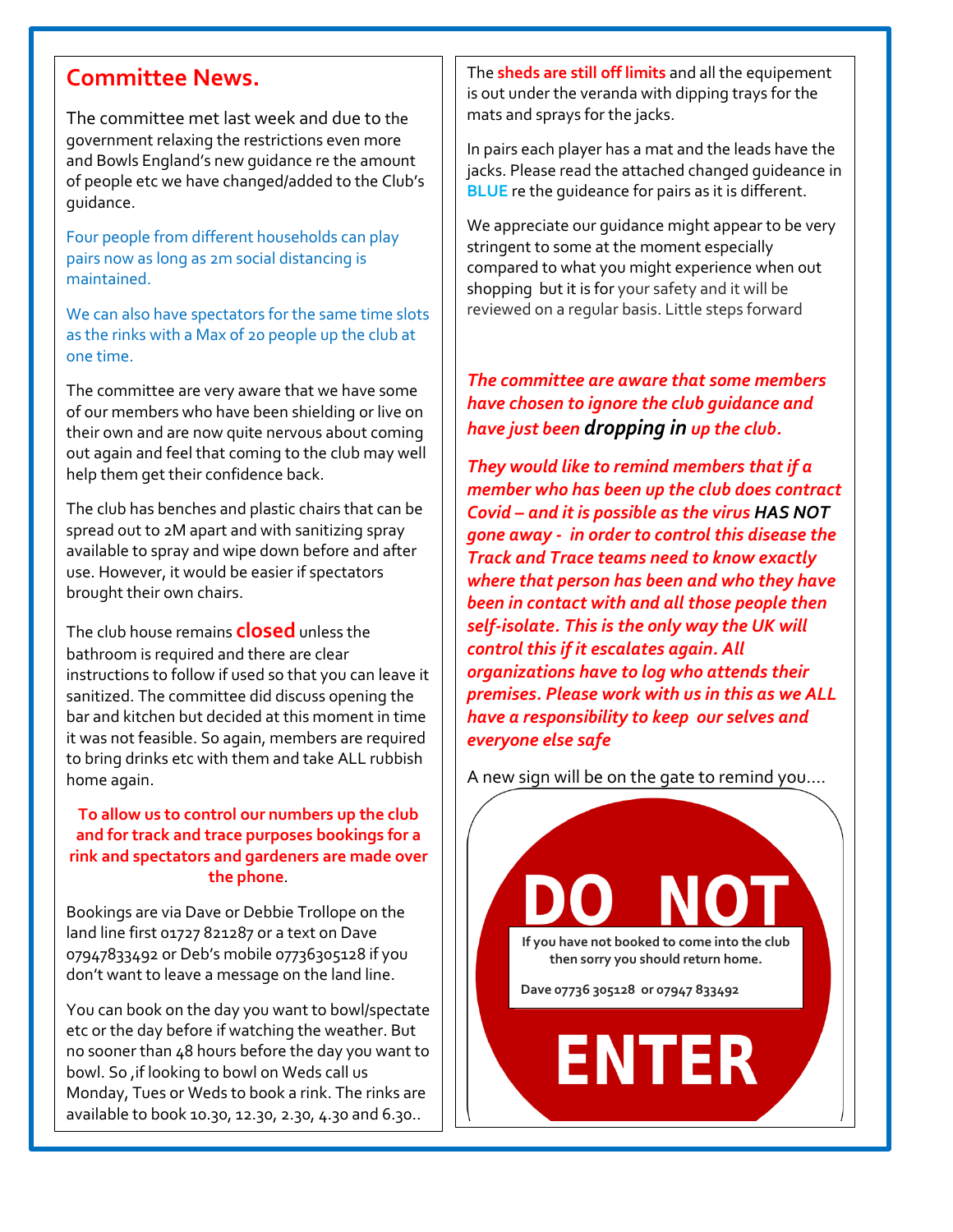## **Committee News.**

The committee met last week and due to the government relaxing the restrictions even more and Bowls England's new guidance re the amount of people etc we have changed/added to the Club's guidance.

Four people from different households can play pairs now as long as 2m social distancing is maintained.

We can also have spectators for the same time slots as the rinks with a Max of 20 people up the club at one time.

The committee are very aware that we have some of our members who have been shielding or live on their own and are now quite nervous about coming out again and feel that coming to the club may well help them get their confidence back.

The club has benches and plastic chairs that can be spread out to 2M apart and with sanitizing spray available to spray and wipe down before and after use. However, it would be easier if spectators brought their own chairs.

The club house remains **closed** unless the bathroom is required and there are clear instructions to follow if used so that you can leave it sanitized. The committee did discuss opening the bar and kitchen but decided at this moment in time it was not feasible. So again, members are required to bring drinks etc with them and take ALL rubbish home again.

#### **To allow us to control our numbers up the club and for track and trace purposes bookings for a rink and spectators and gardeners are made over the phone**.

Bookings are via Dave or Debbie Trollope on the land line first 01727 821287 or a text on Dave 07947833492 or Deb's mobile 07736305128 if you don't want to leave a message on the land line.

You can book on the day you want to bowl/spectate etc or the day before if watching the weather. But no sooner than 48 hours before the day you want to bowl. So ,if looking to bowl on Weds call us Monday, Tues or Weds to book a rink. The rinks are available to book 10.30, 12.30, 2.30, 4.30 and 6.30..

The **sheds are still off limits** and all the equipement is out under the veranda with dipping trays for the mats and sprays for the jacks.

In pairs each player has a mat and the leads have the jacks. Please read the attached changed guideance in **BLUE** re the guideance for pairs as it is different.

We appreciate our guidance might appear to be very stringent to some at the moment especially compared to what you might experience when out shopping but it is for your safety and it will be reviewed on a regular basis. Little steps forward

#### *The committee are aware that some members have chosen to ignore the club guidance and have just been dropping in up the club.*

*They would like to remind members that if a member who has been up the club does contract Covid – and it is possible as the virus HAS NOT gone away - in order to control this disease the Track and Trace teams need to know exactly where that person has been and who they have been in contact with and all those people then self-isolate. This is the only way the UK will control this if it escalates again. All organizations have to log who attends their premises. Please work with us in this as we ALL have a responsibility to keep our selves and everyone else safe*

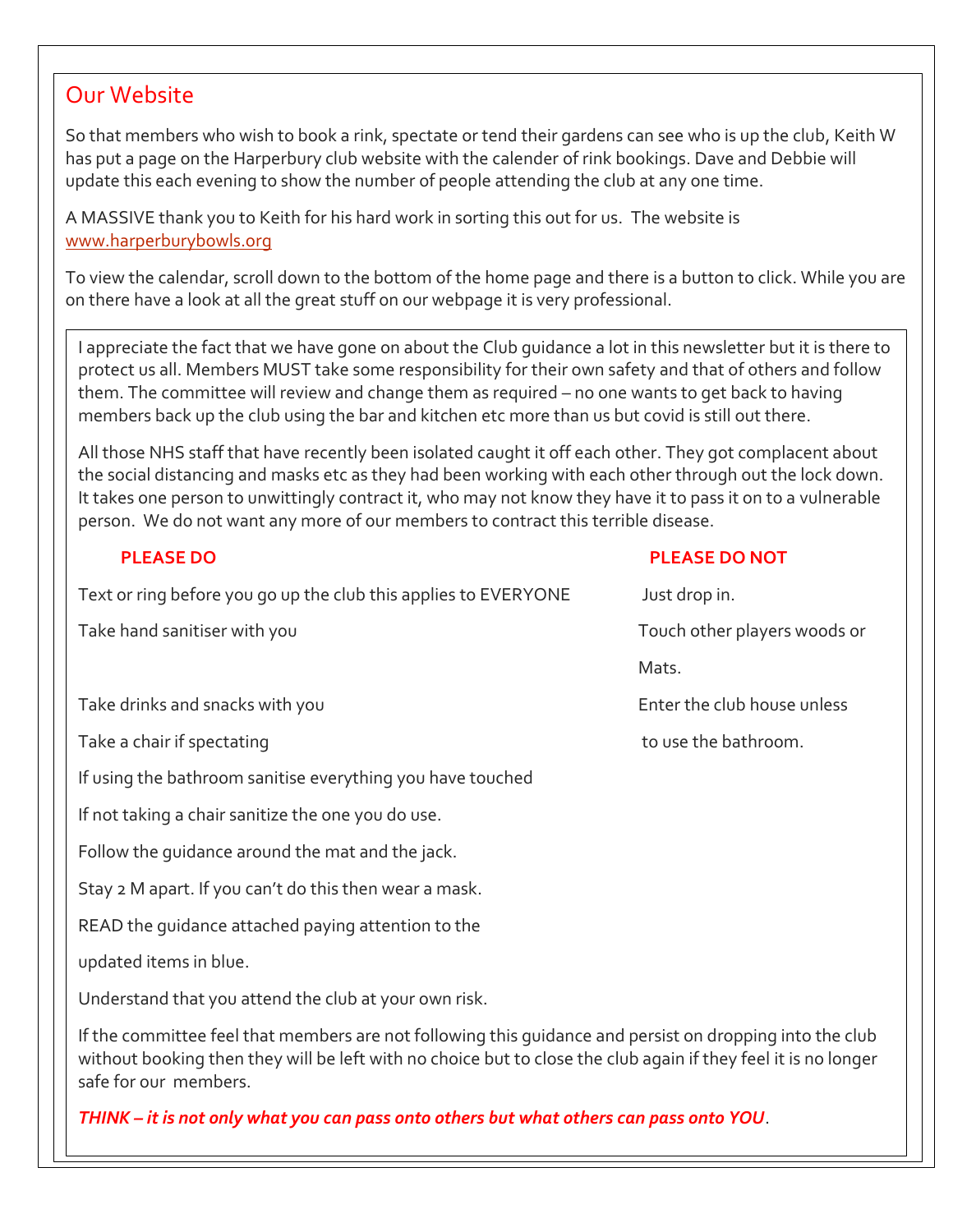### Our Website

 $\overline{\phantom{a}}$ 

So that members who wish to book a rink, spectate or tend their gardens can see who is up the club, Keith W has put a page on the Harperbury club website with the calender of rink bookings. Dave and Debbie will update this each evening to show the number of people attending the club at any one time.

A MASSIVE thank you to Keith for his hard work in sorting this out for us. The website is [www.harperburybowls.org](http://www.harperburybowls.org/)

To view the calendar, scroll down to the bottom of the home page and there is a button to click. While you are on there have a look at all the great stuff on our webpage it is very professional.

I appreciate the fact that we have gone on about the Club guidance a lot in this newsletter but it is there to protect us all. Members MUST take some responsibility for their own safety and that of others and follow them. The committee will review and change them as required – no one wants to get back to having members back up the club using the bar and kitchen etc more than us but covid is still out there.

All those NHS staff that have recently been isolated caught it off each other. They got complacent about the social distancing and masks etc as they had been working with each other through out the lock down. It takes one person to unwittingly contract it, who may not know they have it to pass it on to a vulnerable person. We do not want any more of our members to contract this terrible disease.

| <b>PLEASE DO</b>                                                                                         | <b>PLEASE DO NOT</b>         |
|----------------------------------------------------------------------------------------------------------|------------------------------|
| Text or ring before you go up the club this applies to EVERYONE                                          | Just drop in.                |
| Take hand sanitiser with you                                                                             | Touch other players woods or |
|                                                                                                          | Mats.                        |
| Take drinks and snacks with you                                                                          | Enter the club house unless  |
| Take a chair if spectating                                                                               | to use the bathroom.         |
| If using the bathroom sanitise everything you have touched                                               |                              |
| If not taking a chair sanitize the one you do use.                                                       |                              |
| Follow the quidance around the mat and the jack.                                                         |                              |
| Stay 2 M apart. If you can't do this then wear a mask.                                                   |                              |
| READ the quidance attached paying attention to the                                                       |                              |
| updated items in blue.                                                                                   |                              |
| Understand that you attend the club at your own risk.                                                    |                              |
| If the committee feel that members are not following this quidance and persist on dropping into the club |                              |

If the committee feel that members are not following this guidance and persist on dropping into the club without booking then they will be left with no choice but to close the club again if they feel it is no longer safe for our members.

*THINK – it is not only what you can pass onto others but what others can pass onto YOU*.